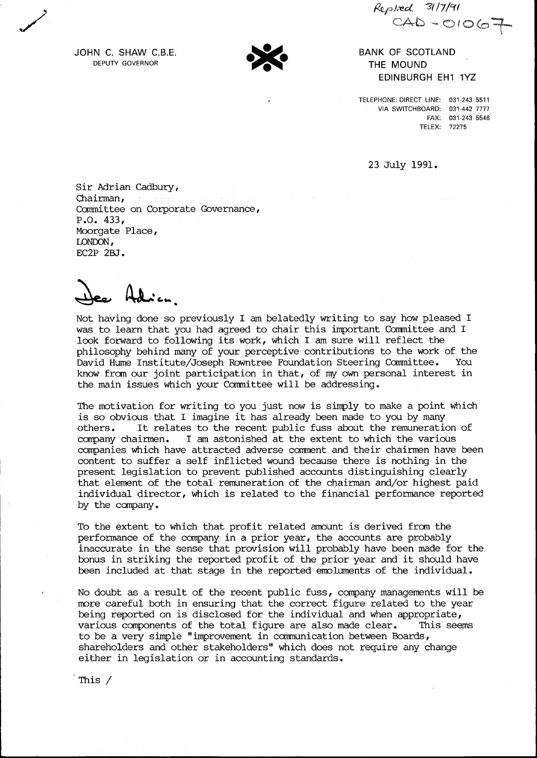*~p),-ed 'S117/err* CAD-01067

JOHN C. SHAW C.B.E. DEPUTY GOVERNOR

/

BANK OF SCOTLAND THE MOUND EDINBURGH EH1 1YZ

TELEPHONE: DIRECT LINE: 031-243 5511 VIA SWITCHBOARD: 031-442 7777 FAX: 031-243 5546 TELEX: 72275

23 July 1991.

Sir Adrian Cadbury, Chairman, Committee on Corporate Governance, P.O. 433, Moorgate Place, LONDON, EC2P 2BJ.

Not having done so previously I am belatedly writing to say how pleased I was to learn that you had agreed to chair this important Committee and I look forward to following its work, which I am sure will reflect the philosophy behind many of your perceptive contributions to the work of the David Hume Institute/Joseph Rowntree Foundation Steering Committee. You know from our joint participation in that, of my own personal interest in the main issues which your Committee will be addressing.

The motivation for writing to you just now is simply to make a point which is so obvious that I imagine it has already been made to you by many others. It relates to the recent public fuss about the remuneration of company chairmen. I am astonished at the extent to which the various companies which have attracted adverse comment and their chairmen have been content to suffer a self inflicted wound because there is nothing in the present legislation to prevent published accounts distinguishing clearly that element of the total remuneration of the chairman and/or highest paid individual director, which is related to the financial performance reported by the canpany.

To the extent to which that profit related amount is derived from the performance of the company in a prior year, the accounts are probably inaccurate in the sense that provision will probably have been made for the bonus in striking the reported profit of the prior year and it should have been included at that stage in the reported emoluments of the individual.

No doubt as a result of the recent public fuss, company managements will be more careful both in ensuring that the correct figure related to the year being reported on is disclosed for the individual and when appropriate, various components of the total figure are also made clear. This seems to be a very simple "improvement in canmunication between Boards , shareholders and other stakeholders" which does not require any change either in legislation or in accounting standards.

This /